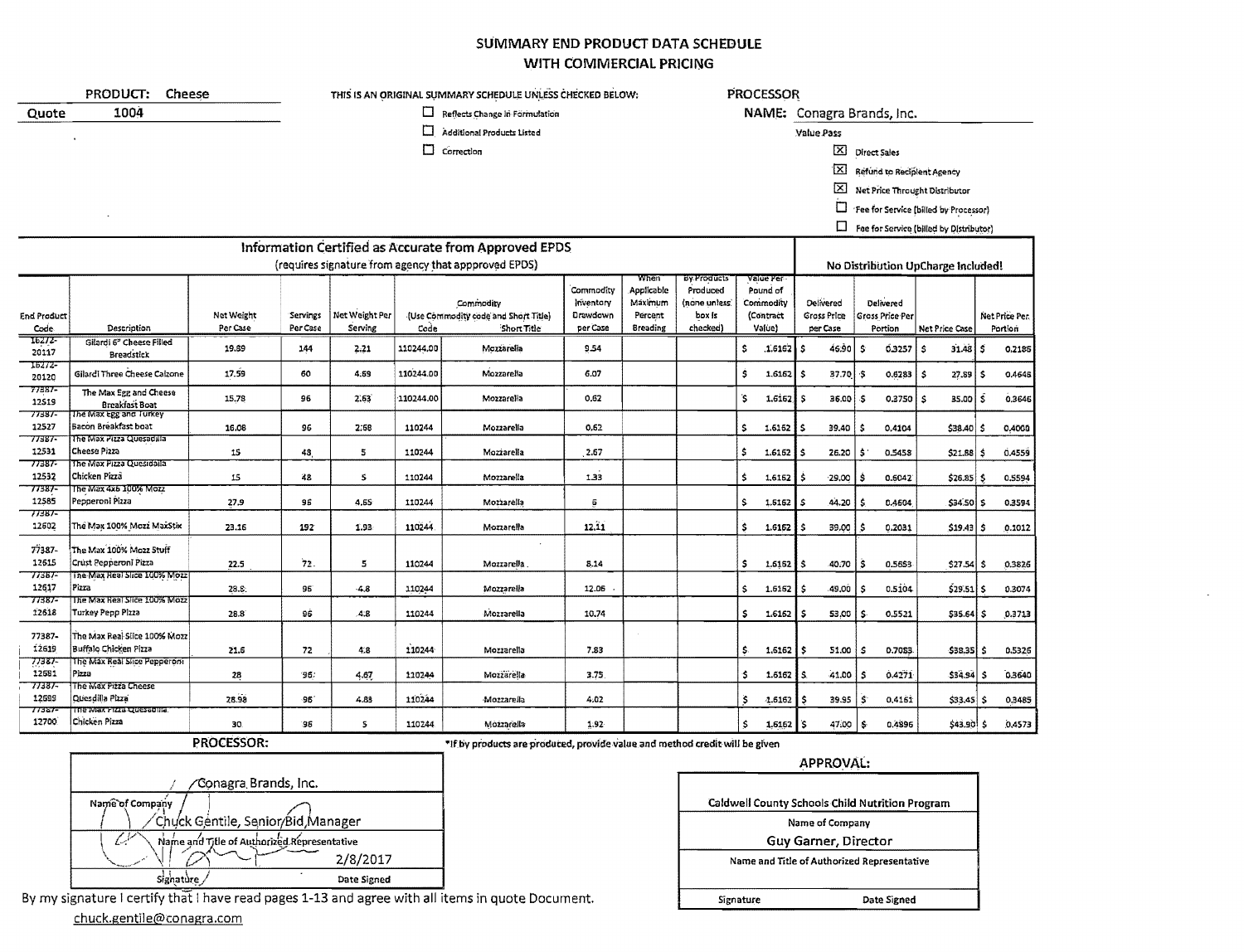## SUMMARY END PRODUCT DATA SCHEDULE WITH COMMERCIAL PRICING

|                     | PRODUCT:<br>Cheese                                | THIS IS AN ORIGINAL SUMMARY SCHEDULE UNLESS CHECKED BELOW: |                                       |                                                      |                      |                                                                  |                                                |                                                             | <b>PROCESSOR</b>                                                      |                                                           |                            |                                             |                                         |                                         |    |                          |  |  |  |
|---------------------|---------------------------------------------------|------------------------------------------------------------|---------------------------------------|------------------------------------------------------|----------------------|------------------------------------------------------------------|------------------------------------------------|-------------------------------------------------------------|-----------------------------------------------------------------------|-----------------------------------------------------------|----------------------------|---------------------------------------------|-----------------------------------------|-----------------------------------------|----|--------------------------|--|--|--|
| Quote               | 1004                                              |                                                            | $\Box$ Reflects Change In Formulation |                                                      |                      |                                                                  |                                                |                                                             |                                                                       |                                                           | NAME: Conagra Brands, Inc. |                                             |                                         |                                         |    |                          |  |  |  |
|                     |                                                   |                                                            |                                       |                                                      | □                    | Additional Products Listed                                       |                                                |                                                             |                                                                       |                                                           |                            | Value Pass                                  |                                         |                                         |    |                          |  |  |  |
|                     |                                                   |                                                            |                                       |                                                      | □                    | Correction                                                       |                                                |                                                             |                                                                       |                                                           |                            | ⊠                                           |                                         |                                         |    |                          |  |  |  |
|                     |                                                   |                                                            |                                       |                                                      |                      |                                                                  |                                                |                                                             |                                                                       |                                                           |                            |                                             | <b>Direct Sales</b>                     |                                         |    |                          |  |  |  |
|                     |                                                   |                                                            |                                       |                                                      |                      |                                                                  |                                                |                                                             |                                                                       |                                                           |                            | 囟                                           | Refund to Reciplent Agency              |                                         |    |                          |  |  |  |
|                     |                                                   |                                                            |                                       |                                                      |                      |                                                                  |                                                |                                                             |                                                                       |                                                           |                            |                                             | X Net Price Throught Distributor        |                                         |    |                          |  |  |  |
|                     |                                                   |                                                            |                                       |                                                      |                      |                                                                  |                                                |                                                             |                                                                       |                                                           |                            | □                                           |                                         | 'Fee for Service (billed by Processor)  |    |                          |  |  |  |
|                     |                                                   |                                                            |                                       |                                                      |                      |                                                                  |                                                |                                                             |                                                                       |                                                           |                            | $\Box$                                      |                                         | Fee for Service (billed by Distributor) |    |                          |  |  |  |
|                     |                                                   |                                                            |                                       |                                                      |                      |                                                                  |                                                |                                                             |                                                                       |                                                           |                            |                                             |                                         |                                         |    |                          |  |  |  |
|                     |                                                   |                                                            |                                       | Information Certified as Accurate from Approved EPDS |                      |                                                                  |                                                |                                                             |                                                                       |                                                           |                            |                                             |                                         |                                         |    |                          |  |  |  |
|                     |                                                   |                                                            |                                       |                                                      |                      | (requires signature from agency that appproved EPDS)             |                                                |                                                             |                                                                       |                                                           |                            |                                             |                                         | No Distribution UpCharge Included!      |    |                          |  |  |  |
| End Product<br>Code | Description                                       | Net Weight<br>Per Case                                     | Servings<br>Per Case                  | Net Weight Per<br>Serving                            | Code                 | Commodity<br>(Use Commodity code and Short Title)<br>Short Title | Commodity<br>Inventory<br>Drawdown<br>per Case | When<br>Applicable<br>Maximum<br>Percent<br><b>Breading</b> | <b>By Products</b><br>Produced<br>(none unless:<br>box is<br>checked) | value Per<br>Pound of<br>Commodity<br>(Contract<br>Value) |                            | <b>Delivered</b><br>Gross Price<br>per Case | Delivered<br>Gross Price Per<br>Portion | Net Price Case                          |    | Net Price Per<br>Portion |  |  |  |
| 16272-              | Gilardi 6 <sup>9</sup> Cheese Filled              |                                                            |                                       |                                                      |                      |                                                                  |                                                |                                                             |                                                                       |                                                           |                            |                                             |                                         |                                         |    |                          |  |  |  |
| 20117               | <b>Breadstick</b>                                 | 19.89                                                      | 144                                   | 2.21                                                 | 110244.00            | Mozzarella                                                       | 9.54                                           |                                                             |                                                                       | \$                                                        | .1.6162                    | 46.90<br>.s                                 | s.<br>0.3257                            | 31.48<br>ŝ.                             | ۱Ś | 0.2186                   |  |  |  |
| 16272<br>20120      | Gilardi Three Cheese Calzone                      | 17.59                                                      | 60                                    | 4.69                                                 | 110244.00            | Mozzarella                                                       | 6.07                                           |                                                             |                                                                       | Ś                                                         | 1.6152                     | l s<br>37.70                                | -5<br>0.6283                            | ۱s<br>27.89                             | ١s | 0.4648                   |  |  |  |
| 77387-<br>12519     | The Max Egg and Cheese<br>Breakfast Boat          | 15.78                                                      | 96                                    | 2.63                                                 | 110244.00            | Mozzarella                                                       | 0.62                                           |                                                             |                                                                       | <b>S</b>                                                  | $1.6162$ S                 | $36.00$ $\sqrt{5}$                          | $0.3750$ $\vert$ \$                     | 35.00                                   | ۱ŝ | 0.3646                   |  |  |  |
| 77387<br>12527      | The Max Egg and Turkey<br>Bacon Breakfast boat    | 16.08                                                      | 96                                    | 2.68                                                 | 110244               | Mozzarella                                                       | 0.62                                           |                                                             |                                                                       | \$                                                        | 1.6162                     | 39.40                                       | \$<br>0,4104                            | $$38.40$ \$                             |    | 0.4000                   |  |  |  |
| 77387<br>12531      | The Max Pizza Quesadilla<br><b>Cheese Pizza</b>   | 15                                                         | 48                                    | 5                                                    | 110244<br>Mozzarella |                                                                  | 2.67                                           |                                                             |                                                                       | Ś                                                         | 1.6162                     | 26.20<br>s                                  | 0.5458<br>\$                            | $$21.88$ \$                             |    | 0.4559                   |  |  |  |
| 77387-              | The Max Pizza Quesidaila                          |                                                            |                                       |                                                      |                      |                                                                  |                                                |                                                             |                                                                       |                                                           |                            |                                             |                                         |                                         |    |                          |  |  |  |
| 12532               | Chicken Pizza                                     | 15                                                         | 48                                    | S.                                                   | 110244               | Mozzarella                                                       | 1.33                                           |                                                             |                                                                       | \$                                                        | 1,6162                     | 29,00                                       | 0.6042<br>۱ŝ                            | $$26.85$ \$                             |    | 0.5594                   |  |  |  |
| 77387-              | The Max 4x6 100% Mozz                             |                                                            |                                       |                                                      |                      |                                                                  |                                                |                                                             |                                                                       |                                                           |                            |                                             |                                         |                                         |    |                          |  |  |  |
| 12585<br>77387-     | Peoperoni Pizza                                   | 27.9                                                       | 96                                    | 4.65                                                 | 110244               | Mozzarella                                                       | 6                                              |                                                             |                                                                       | s.                                                        | 1.5162                     | 44.20<br>5                                  | Ŝ.<br>0.4604                            | \$34.50 \$                              |    | 0.3594                   |  |  |  |
| 12602               | The Max 100% Mozz MaxStix                         | 23.16                                                      | 192                                   | 1.93                                                 | 110244               | Mozzarella                                                       | 12.11                                          |                                                             |                                                                       | \$                                                        | 1.6162                     | 39.00<br>Ŝ                                  | ŝ<br>0.2031                             | $$19.43$ $$$                            |    | 0.1012                   |  |  |  |
| 77387-              | The Max 100% Mozz 5tuff                           |                                                            |                                       |                                                      |                      |                                                                  |                                                |                                                             |                                                                       |                                                           |                            |                                             |                                         |                                         |    |                          |  |  |  |
| 12615               | Crust Pepperoni Pizza                             | 22.5                                                       | 72.                                   | 5                                                    | 110244               | Mozzarella                                                       |                                                |                                                             |                                                                       | \$                                                        | 1,6162                     | 40.70<br>Ŝ.                                 | ۱s<br>0.5653                            | $$27.54$ \ \$                           |    | 0.3826                   |  |  |  |
| 77387-              | The Max Real Slice 100% Mozz                      |                                                            |                                       |                                                      |                      |                                                                  |                                                |                                                             |                                                                       |                                                           |                            |                                             |                                         |                                         |    |                          |  |  |  |
| 12617               | Pizza                                             | 28.8                                                       | 95                                    | $-4.8$                                               | 110244<br>Mozzarella |                                                                  | 12.06                                          |                                                             |                                                                       | \$                                                        | 1,6162                     | ۱ś<br>49,00                                 | 0.5104<br>l S                           | $$29.51$ \$                             |    | 0.3074                   |  |  |  |
| 77387<br>12618      | The Max Real Slice 100% Mozz<br>Turkey Pepp Pizza | 28.8                                                       | 96                                    | 4.8                                                  | 110244<br>Mozzarella |                                                                  | 10.74                                          |                                                             |                                                                       | \$                                                        | 1.6162                     | s.<br>53,00                                 | ۱Ś٠<br>0.5521                           | $$35.64$ $$$                            |    | 0.3713                   |  |  |  |
| 77387-              | The Max Real Slice 100% Mozz                      |                                                            |                                       |                                                      |                      |                                                                  |                                                |                                                             |                                                                       |                                                           |                            |                                             |                                         |                                         |    |                          |  |  |  |
| 12619               | Buffalo Chicken Pizza                             | 21.6                                                       | 72                                    | 4.8                                                  | 110244               |                                                                  | 7.83                                           |                                                             |                                                                       | \$.                                                       | 1,6162                     | 51.00<br>÷.                                 | -S<br>0.7083                            | $$38.35$ \$                             |    | 0.5326                   |  |  |  |
| 77387-              | The Max Real Slice Pepperont                      |                                                            |                                       |                                                      | Mozzarella           |                                                                  |                                                |                                                             |                                                                       |                                                           |                            |                                             |                                         |                                         |    |                          |  |  |  |
| 12681               | Pizza                                             | 28                                                         | 96.                                   | 4.67                                                 | 110244<br>Mozzarella |                                                                  | 3.75.                                          |                                                             |                                                                       | ٠\$                                                       | 1.6162                     | 41.00<br>ß.                                 | 0.4271<br>s                             | \$34.94 \$                              |    | 0.3640                   |  |  |  |
| 77387-              | The Max Pizza Cheese                              |                                                            |                                       |                                                      |                      |                                                                  |                                                |                                                             |                                                                       |                                                           |                            |                                             |                                         |                                         |    |                          |  |  |  |
| 12699<br>11361      | Quesdilla Pizza<br>ifie iviax rizza Quesadilla.   | 28.98                                                      | -96                                   | 4.83                                                 | 110244               | Mozzarella                                                       | 4.02                                           |                                                             |                                                                       | ŝ.                                                        | -1,6162                    | 39.95                                       | Ś<br>0,4161                             | \$33.45 \$                              |    | 0.3485                   |  |  |  |
| 12700               | Chicken Pizza                                     | 30.                                                        | 35                                    | 5                                                    | 110244<br>Mozzarella |                                                                  | 1.92                                           |                                                             |                                                                       | s                                                         | 1.6162                     | 47.00<br>۱s                                 | 0.4896<br>s.                            | 343.90 S                                |    | 0,4573                   |  |  |  |

PROCESSOR:

\*If by products are produced, provide value and method credit will be given

Conagra Brands, Inc. Name of Company Chuck Géntile, Senior/Bid,Manager Name and Title of Authorized Representative Ľ. 2/8/2017 M signature Date Signed

By my signature I certify that I have read pages 1-13 and agree with all items in quote Document. chuck.gentile@conagra.com

APPROVAL:

Caldwell County Schools Child Nutrition Program Name of Company Guy Garner, Director Name and Title of Authorized Representative Signature Date Signed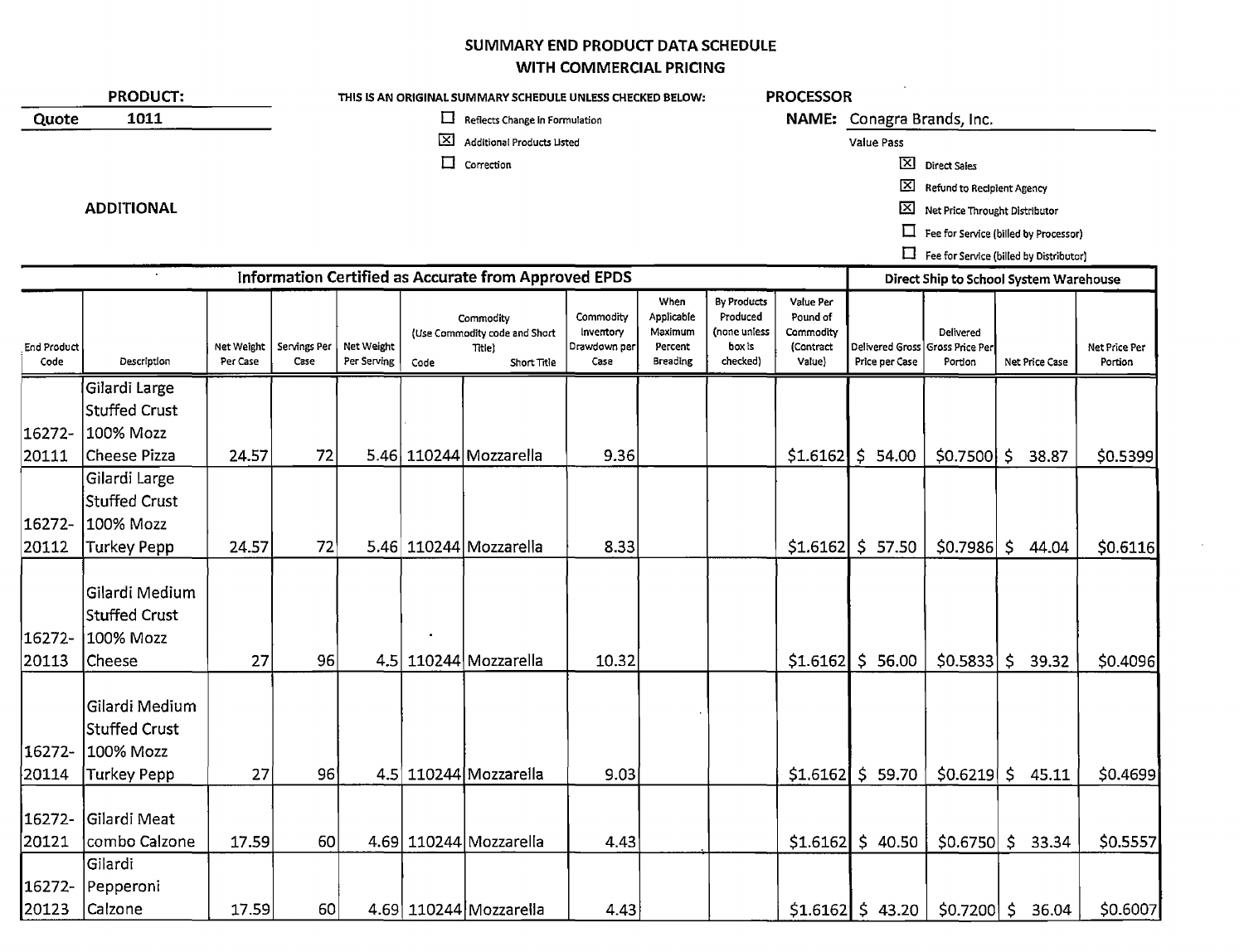## SUMMARY END PRODUCT DATA SCHEDULE WITH COMMERCIAL PRICING

| 1011                                                          |                                     |                      |                           |                            |                                |                                                                                                                                                                                          |                                                                                        |                                                               |                                                           |                            |                      |                                                                                                                                                     |                                                                                                                                                                                                                                                                                                    |
|---------------------------------------------------------------|-------------------------------------|----------------------|---------------------------|----------------------------|--------------------------------|------------------------------------------------------------------------------------------------------------------------------------------------------------------------------------------|----------------------------------------------------------------------------------------|---------------------------------------------------------------|-----------------------------------------------------------|----------------------------|----------------------|-----------------------------------------------------------------------------------------------------------------------------------------------------|----------------------------------------------------------------------------------------------------------------------------------------------------------------------------------------------------------------------------------------------------------------------------------------------------|
|                                                               |                                     |                      |                           | ப                          | Reflects Change in Formulation |                                                                                                                                                                                          |                                                                                        |                                                               |                                                           | NAME: Conagra Brands, Inc. |                      |                                                                                                                                                     |                                                                                                                                                                                                                                                                                                    |
|                                                               |                                     |                      |                           | ⊠                          | Additional Products Listed     |                                                                                                                                                                                          |                                                                                        |                                                               |                                                           | Value Pass                 |                      |                                                                                                                                                     |                                                                                                                                                                                                                                                                                                    |
|                                                               |                                     |                      |                           | $\Box$                     |                                |                                                                                                                                                                                          |                                                                                        |                                                               |                                                           |                            |                      |                                                                                                                                                     |                                                                                                                                                                                                                                                                                                    |
|                                                               |                                     |                      |                           |                            |                                |                                                                                                                                                                                          |                                                                                        |                                                               |                                                           | ⊠                          |                      |                                                                                                                                                     |                                                                                                                                                                                                                                                                                                    |
| <b>ADDITIONAL</b>                                             |                                     |                      |                           |                            |                                |                                                                                                                                                                                          |                                                                                        |                                                               |                                                           | ⊠                          |                      |                                                                                                                                                     |                                                                                                                                                                                                                                                                                                    |
|                                                               |                                     |                      |                           |                            |                                |                                                                                                                                                                                          |                                                                                        |                                                               |                                                           | 口                          |                      |                                                                                                                                                     |                                                                                                                                                                                                                                                                                                    |
|                                                               |                                     |                      |                           |                            |                                |                                                                                                                                                                                          |                                                                                        |                                                               |                                                           |                            |                      |                                                                                                                                                     |                                                                                                                                                                                                                                                                                                    |
|                                                               |                                     |                      |                           |                            |                                |                                                                                                                                                                                          |                                                                                        |                                                               |                                                           |                            |                      |                                                                                                                                                     |                                                                                                                                                                                                                                                                                                    |
| Description                                                   | Net Weight<br>Per Case              | Servings Per<br>Case | Net Weight<br>Per Serving | Code                       | Title)<br>Short Title          | Commodity<br>Inventory<br>Drawdown per<br>Case                                                                                                                                           | When<br>Applicable<br>Maximum<br>Percent<br><b>Breading</b>                            | By Products<br>Produced<br>(none uniess<br>box is<br>checked) | Value Per<br>Pound of<br>Commodity<br>(Contract<br>Value) | Price per Case             | Delivered<br>Portion | Net Price Case                                                                                                                                      | Net Price Per<br>Portion                                                                                                                                                                                                                                                                           |
| Gilardi Large                                                 |                                     |                      |                           |                            |                                |                                                                                                                                                                                          |                                                                                        |                                                               |                                                           |                            |                      |                                                                                                                                                     |                                                                                                                                                                                                                                                                                                    |
| <b>Stuffed Crust</b>                                          |                                     |                      |                           |                            |                                |                                                                                                                                                                                          |                                                                                        |                                                               |                                                           |                            |                      |                                                                                                                                                     |                                                                                                                                                                                                                                                                                                    |
| 100% Mozz                                                     |                                     |                      |                           |                            |                                |                                                                                                                                                                                          |                                                                                        |                                                               |                                                           |                            |                      |                                                                                                                                                     |                                                                                                                                                                                                                                                                                                    |
| Cheese Pizza                                                  | 24.57                               | 72                   |                           |                            |                                | 9.36                                                                                                                                                                                     |                                                                                        |                                                               |                                                           | \$54.00                    |                      | 38.87                                                                                                                                               | \$0.5399                                                                                                                                                                                                                                                                                           |
| Gilardi Large<br><b>Stuffed Crust</b>                         |                                     |                      |                           |                            |                                |                                                                                                                                                                                          |                                                                                        |                                                               |                                                           |                            |                      |                                                                                                                                                     |                                                                                                                                                                                                                                                                                                    |
| 100% Mozz                                                     |                                     |                      |                           |                            |                                |                                                                                                                                                                                          |                                                                                        |                                                               |                                                           |                            |                      |                                                                                                                                                     |                                                                                                                                                                                                                                                                                                    |
| Turkey Pepp                                                   | 24.57                               |                      |                           |                            |                                | 8.33                                                                                                                                                                                     |                                                                                        |                                                               |                                                           |                            |                      | $\mathsf{S}^-$<br>44.04                                                                                                                             | \$0.6116                                                                                                                                                                                                                                                                                           |
| Gilardi Medium<br><b>Stuffed Crust</b><br>100% Mozz<br>Cheese | 27                                  |                      |                           |                            |                                | 10.32                                                                                                                                                                                    |                                                                                        |                                                               |                                                           | \$56.00                    |                      | $\mathsf{S}$<br>39.32                                                                                                                               | \$0.4096                                                                                                                                                                                                                                                                                           |
| Gilardi Medium<br><b>Stuffed Crust</b><br>100% Mozz           |                                     |                      |                           |                            |                                |                                                                                                                                                                                          |                                                                                        |                                                               |                                                           |                            |                      |                                                                                                                                                     |                                                                                                                                                                                                                                                                                                    |
| Turkey Pepp                                                   | 27                                  |                      |                           |                            |                                | 9.03                                                                                                                                                                                     |                                                                                        |                                                               |                                                           |                            |                      | 45.11                                                                                                                                               | \$0.4699                                                                                                                                                                                                                                                                                           |
| Gilardi Meat                                                  |                                     |                      |                           |                            |                                |                                                                                                                                                                                          |                                                                                        |                                                               |                                                           |                            |                      |                                                                                                                                                     | \$0.5557                                                                                                                                                                                                                                                                                           |
|                                                               |                                     |                      |                           |                            |                                |                                                                                                                                                                                          |                                                                                        |                                                               |                                                           |                            |                      |                                                                                                                                                     |                                                                                                                                                                                                                                                                                                    |
| Pepperoni                                                     |                                     |                      |                           |                            |                                |                                                                                                                                                                                          |                                                                                        |                                                               |                                                           |                            |                      |                                                                                                                                                     | \$0.6007                                                                                                                                                                                                                                                                                           |
|                                                               | combo Calzone<br>Gilardi<br>Calzone |                      | 17.59                     | 72<br>96<br>96<br>60<br>60 |                                | Correction<br>Commodity<br>(Use Commodity code and Short<br>5.46 110244 Mozzarella<br>5.46 110244 Mozzarella<br>4.5 110244 Mozzarella<br>4.5 110244 Mozzarella<br>4.69 110244 Mozzarella | Information Certified as Accurate from Approved EPDS<br>4.43<br>4.69 110244 Mozzarella |                                                               | 17.59<br>4.43                                             |                            | \$1.6162<br>\$1.6162 | X Direct Sales<br>Delivered Gross<br><b>Gross Price Per</b><br>$$1.6162$ $$57.50$<br>$$1.6162$ $$59.70$<br>$$1.6162$ \$ 40.50<br>$$1.6162$ \$ 43.20 | Refund to Recipient Agency<br>Net Price Throught Distributor<br>Fee for Service (billed by Processor)<br>Fee for Service (billed by Distributor)<br>Direct Ship to School System Warehouse<br>$$0.7500$ \$<br>\$0.7986<br>\$0.5833<br>\$0.6219\$<br>$$0.6750 \mid $33.34$$<br>\$0.7200 \$<br>36.04 |